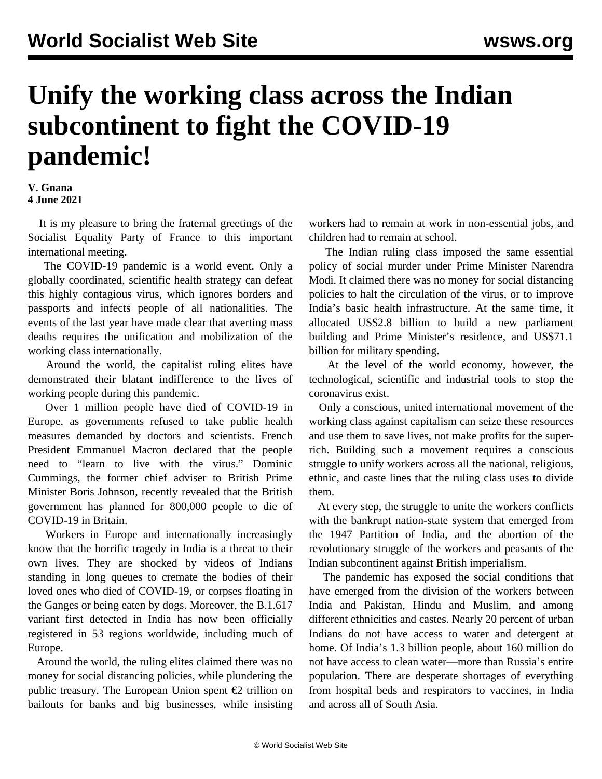## **Unify the working class across the Indian subcontinent to fight the COVID-19 pandemic!**

## **V. Gnana 4 June 2021**

 It is my pleasure to bring the fraternal greetings of the Socialist Equality Party of France to this important international meeting.

 The COVID-19 pandemic is a world event. Only a globally coordinated, scientific health strategy can defeat this highly contagious virus, which ignores borders and passports and infects people of all nationalities. The events of the last year have made clear that averting mass deaths requires the unification and mobilization of the working class internationally.

 Around the world, the capitalist ruling elites have demonstrated their blatant indifference to the lives of working people during this pandemic.

 Over 1 million people have died of COVID-19 in Europe, as governments refused to take public health measures demanded by doctors and scientists. French President Emmanuel Macron declared that the people need to "learn to live with the virus." Dominic Cummings, the former chief adviser to British Prime Minister Boris Johnson, recently revealed that the British government has planned for 800,000 people to die of COVID-19 in Britain.

 Workers in Europe and internationally increasingly know that the horrific tragedy in India is a threat to their own lives. They are shocked by videos of Indians standing in long queues to cremate the bodies of their loved ones who died of COVID-19, or corpses floating in the Ganges or being eaten by dogs. Moreover, the B.1.617 variant first detected in India has now been officially registered in 53 regions worldwide, including much of Europe.

 Around the world, the ruling elites claimed there was no money for social distancing policies, while plundering the public treasury. The European Union spent  $\epsilon$ 2 trillion on bailouts for banks and big businesses, while insisting

workers had to remain at work in non-essential jobs, and children had to remain at school.

 The Indian ruling class imposed the same essential policy of social murder under Prime Minister Narendra Modi. It claimed there was no money for social distancing policies to halt the circulation of the virus, or to improve India's basic health infrastructure. At the same time, it allocated US\$2.8 billion to build a new parliament building and Prime Minister's residence, and US\$71.1 billion for military spending.

 At the level of the world economy, however, the technological, scientific and industrial tools to stop the coronavirus exist.

 Only a conscious, united international movement of the working class against capitalism can seize these resources and use them to save lives, not make profits for the superrich. Building such a movement requires a conscious struggle to unify workers across all the national, religious, ethnic, and caste lines that the ruling class uses to divide them.

 At every step, the struggle to unite the workers conflicts with the bankrupt nation-state system that emerged from the 1947 Partition of India, and the abortion of the revolutionary struggle of the workers and peasants of the Indian subcontinent against British imperialism.

 The pandemic has exposed the social conditions that have emerged from the division of the workers between India and Pakistan, Hindu and Muslim, and among different ethnicities and castes. Nearly 20 percent of urban Indians do not have access to water and detergent at home. Of India's 1.3 billion people, about 160 million do not have access to clean water—more than Russia's entire population. There are desperate shortages of everything from hospital beds and respirators to vaccines, in India and across all of South Asia.